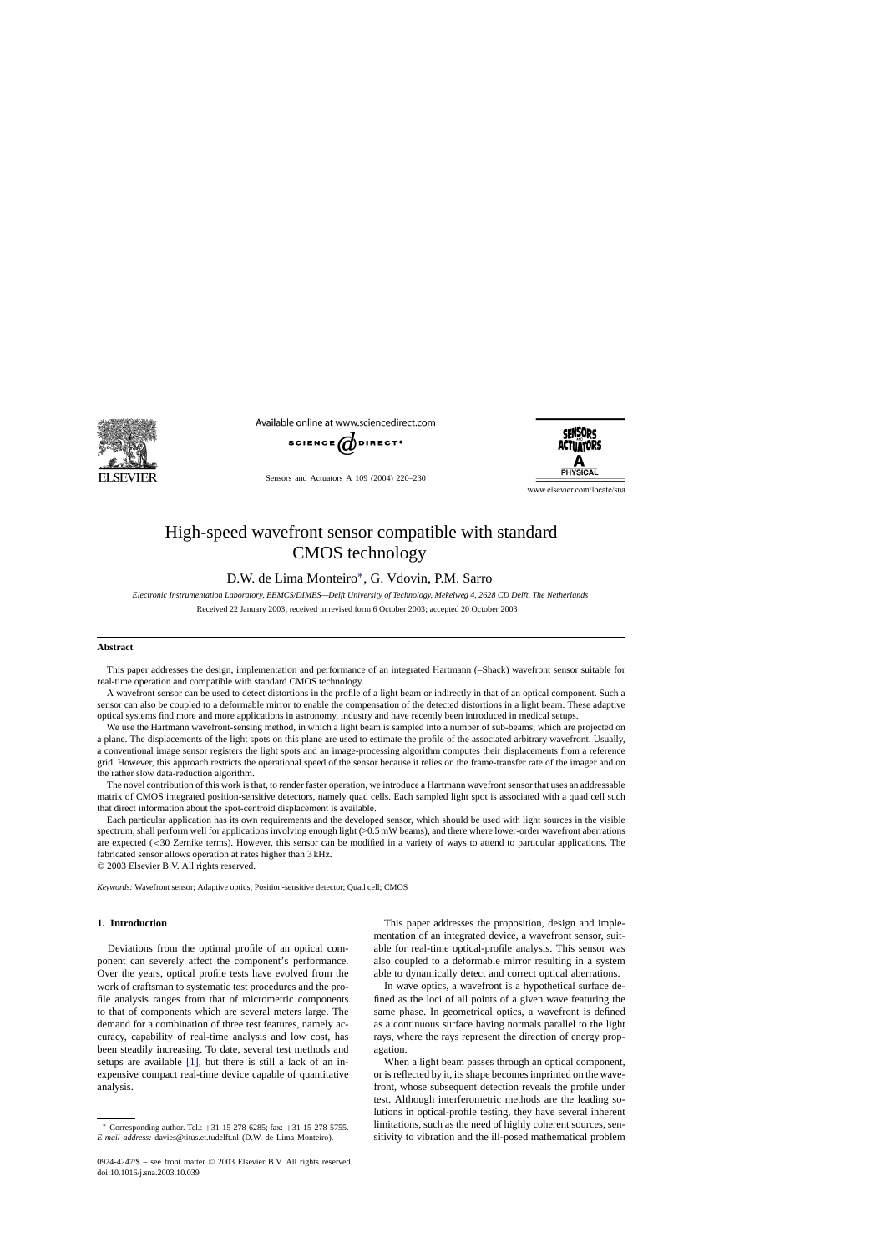

Available online at www.sciencedirect.com





Sensors and Actuators A 109 (2004) 220–230

www.elsevier.com/locate/sna

# High-speed wavefront sensor compatible with standard CMOS technology

D.W. de Lima Monteiro∗, G. Vdovin, P.M. Sarro

*Electronic Instrumentation Laboratory, EEMCS/DIMES—Delft University of Technology, Mekelweg 4, 2628 CD Delft, The Netherlands*

Received 22 January 2003; received in revised form 6 October 2003; accepted 20 October 2003

### **Abstract**

This paper addresses the design, implementation and performance of an integrated Hartmann (–Shack) wavefront sensor suitable for real-time operation and compatible with standard CMOS technology.

A wavefront sensor can be used to detect distortions in the profile of a light beam or indirectly in that of an optical component. Such a sensor can also be coupled to a deformable mirror to enable the compensation of the detected distortions in a light beam. These adaptive optical systems find more and more applications in astronomy, industry and have recently been introduced in medical setups.

We use the Hartmann wavefront-sensing method, in which a light beam is sampled into a number of sub-beams, which are projected on a plane. The displacements of the light spots on this plane are used to estimate the profile of the associated arbitrary wavefront. Usually, a conventional image sensor registers the light spots and an image-processing algorithm computes their displacements from a reference grid. However, this approach restricts the operational speed of the sensor because it relies on the frame-transfer rate of the imager and on the rather slow data-reduction algorithm.

The novel contribution of this work is that, to render faster operation, we introduce a Hartmann wavefront sensor that uses an addressable matrix of CMOS integrated position-sensitive detectors, namely quad cells. Each sampled light spot is associated with a quad cell such that direct information about the spot-centroid displacement is available.

Each particular application has its own requirements and the developed sensor, which should be used with light sources in the visible spectrum, shall perform well for applications involving enough light (>0.5 mW beams), and there where lower-order wavefront aberrations are expected (<30 Zernike terms). However, this sensor can be modified in a variety of ways to attend to particular applications. The fabricated sensor allows operation at rates higher than 3 kHz.

© 2003 Elsevier B.V. All rights reserved.

*Keywords:* Wavefront sensor; Adaptive optics; Position-sensitive detector; Quad cell; CMOS

## **1. Introduction**

Deviations from the optimal profile of an optical component can severely affect the component's performance. Over the years, optical profile tests have evolved from the work of craftsman to systematic test procedures and the profile analysis ranges from that of micrometric components to that of components which are several meters large. The demand for a combination of three test features, namely accuracy, capability of real-time analysis and low cost, has been steadily increasing. To date, several test methods and setups are available [\[1\],](#page--1-0) but there is still a lack of an inexpensive compact real-time device capable of quantitative analysis.

This paper addresses the proposition, design and implementation of an integrated device, a wavefront sensor, suitable for real-time optical-profile analysis. This sensor was also coupled to a deformable mirror resulting in a system able to dynamically detect and correct optical aberrations.

In wave optics, a wavefront is a hypothetical surface defined as the loci of all points of a given wave featuring the same phase. In geometrical optics, a wavefront is defined as a continuous surface having normals parallel to the light rays, where the rays represent the direction of energy propagation.

When a light beam passes through an optical component, or is reflected by it, its shape becomes imprinted on the wavefront, whose subsequent detection reveals the profile under test. Although interferometric methods are the leading solutions in optical-profile testing, they have several inherent limitations, such as the need of highly coherent sources, sensitivity to vibration and the ill-posed mathematical problem

<sup>∗</sup> Corresponding author. Tel.: +31-15-278-6285; fax: +31-15-278-5755. *E-mail address:* davies@titus.et.tudelft.nl (D.W. de Lima Monteiro).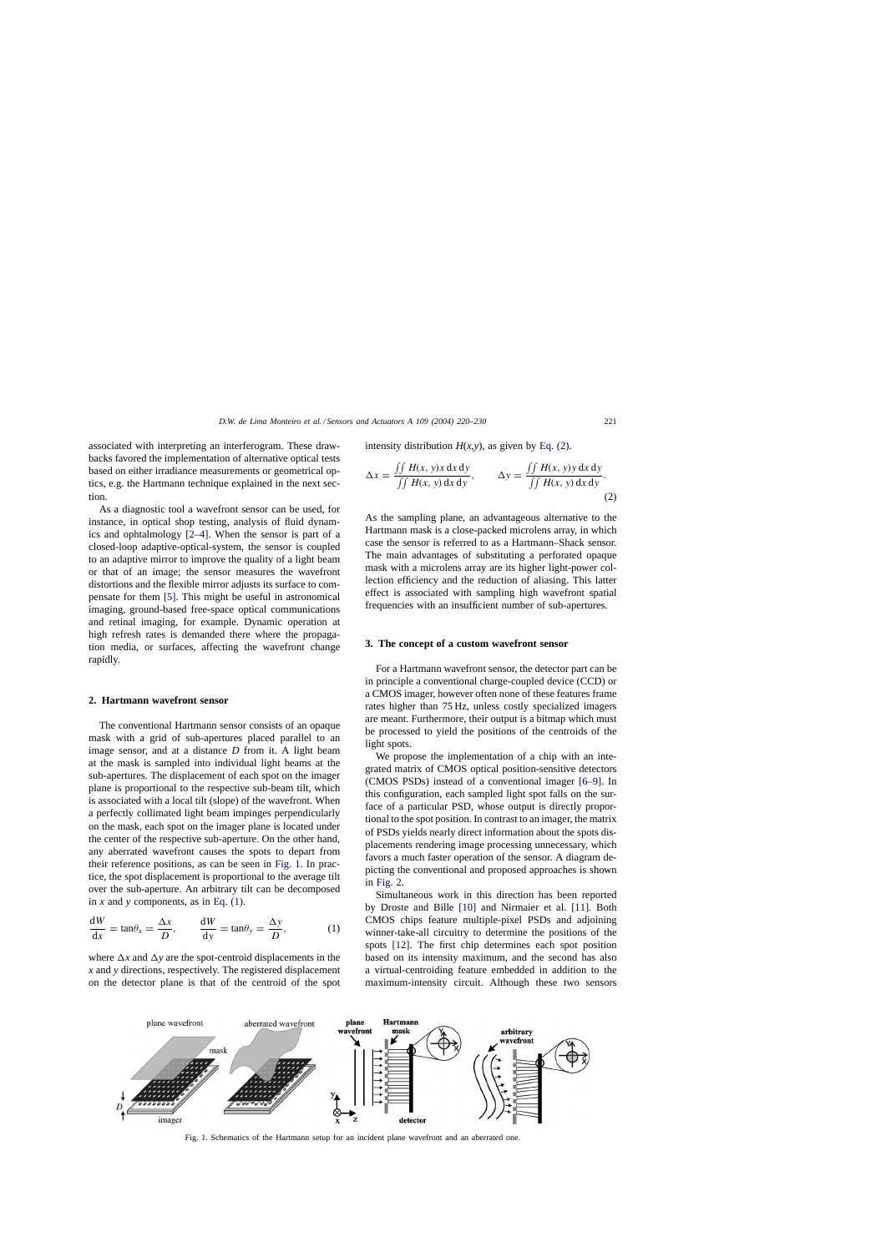As a diagnostic tool a wavefront sensor can be used, for instance, in optical shop testing, analysis of fluid dynamics and ophtalmology [\[2–4\].](#page--1-0) When the sensor is part of a closed-loop adaptive-optical-system, the sensor is coupled to an adaptive mirror to improve the quality of a light beam or that of an image; the sensor measures the wavefront distortions and the flexible mirror adjusts its surface to compensate for them [\[5\].](#page--1-0) This might be useful in astronomical imaging, ground-based free-space optical communications and retinal imaging, for example. Dynamic operation at high refresh rates is demanded there where the propagation media, or surfaces, affecting the wavefront change rapidly.

### **2. Hartmann wavefront sensor**

The conventional Hartmann sensor consists of an opaque mask with a grid of sub-apertures placed parallel to an image sensor, and at a distance *D* from it. A light beam at the mask is sampled into individual light beams at the sub-apertures. The displacement of each spot on the imager plane is proportional to the respective sub-beam tilt, which is associated with a local tilt (slope) of the wavefront. When a perfectly collimated light beam impinges perpendicularly on the mask, each spot on the imager plane is located under the center of the respective sub-aperture. On the other hand, any aberrated wavefront causes the spots to depart from their reference positions, as can be seen in Fig. 1. In practice, the spot displacement is proportional to the average tilt over the sub-aperture. An arbitrary tilt can be decomposed in  $x$  and  $y$  components, as in Eq. (1).

$$
\frac{dW}{dx} = \tan \theta_x = \frac{\Delta x}{D}, \qquad \frac{dW}{dy} = \tan \theta_y = \frac{\Delta y}{D}, \tag{1}
$$

where  $\Delta x$  and  $\Delta y$  are the spot-centroid displacements in the *x* and *y* directions, respectively. The registered displacement on the detector plane is that of the centroid of the spot intensity distribution  $H(x, y)$ , as given by Eq. (2).

$$
\Delta x = \frac{\iint H(x, y)x \, dx \, dy}{\iint H(x, y) \, dx \, dy}, \qquad \Delta y = \frac{\iint H(x, y)y \, dx \, dy}{\iint H(x, y) \, dx \, dy}.
$$
\n(2)

As the sampling plane, an advantageous alternative to the Hartmann mask is a close-packed microlens array, in which case the sensor is referred to as a Hartmann–Shack sensor. The main advantages of substituting a perforated opaque mask with a microlens array are its higher light-power collection efficiency and the reduction of aliasing. This latter effect is associated with sampling high wavefront spatial frequencies with an insufficient number of sub-apertures.

### **3. The concept of a custom wavefront sensor**

For a Hartmann wavefront sensor, the detector part can be in principle a conventional charge-coupled device (CCD) or a CMOS imager, however often none of these features frame rates higher than 75 Hz, unless costly specialized imagers are meant. Furthermore, their output is a bitmap which must be processed to yield the positions of the centroids of the light spots.

We propose the implementation of a chip with an integrated matrix of CMOS optical position-sensitive detectors (CMOS PSDs) instead of a conventional imager [\[6–9\].](#page--1-0) In this configuration, each sampled light spot falls on the surface of a particular PSD, whose output is directly proportional to the spot position. In contrast to an imager, the matrix of PSDs yields nearly direct information about the spots displacements rendering image processing unnecessary, which favors a much faster operation of the sensor. A diagram depicting the conventional and proposed approaches is shown in [Fig. 2.](#page--1-0)

Simultaneous work in this direction has been reported by Droste and Bille [\[10\]](#page--1-0) and Nirmaier et al. [\[11\].](#page--1-0) Both CMOS chips feature multiple-pixel PSDs and adjoining winner-take-all circuitry to determine the positions of the spots [\[12\].](#page--1-0) The first chip determines each spot position based on its intensity maximum, and the second has also a virtual-centroiding feature embedded in addition to the maximum-intensity circuit. Although these two sensors



Fig. 1. Schematics of the Hartmann setup for an incident plane wavefront and an aberrated one.